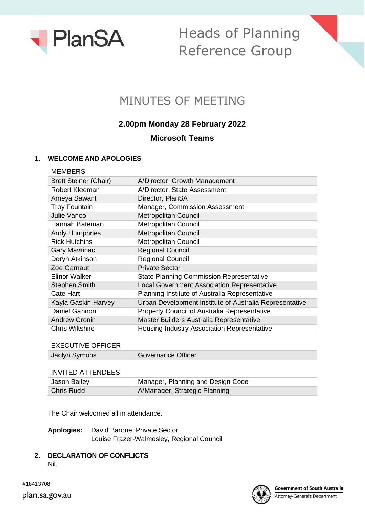

# Heads of Planning Reference Group

## MINUTES OF MEETING

## **2.00pm Monday 28 February 2022**

### **Microsoft Teams**

#### **1. WELCOME AND APOLOGIES**

| A/Director, Growth Management                           |
|---------------------------------------------------------|
| A/Director, State Assessment                            |
| Director, PlanSA                                        |
| Manager, Commission Assessment                          |
| <b>Metropolitan Council</b>                             |
| <b>Metropolitan Council</b>                             |
| <b>Metropolitan Council</b>                             |
| <b>Metropolitan Council</b>                             |
| <b>Regional Council</b>                                 |
| <b>Regional Council</b>                                 |
| <b>Private Sector</b>                                   |
| <b>State Planning Commission Representative</b>         |
| <b>Local Government Association Representative</b>      |
| Planning Institute of Australia Representative          |
| Urban Development Institute of Australia Representative |
| <b>Property Council of Australia Representative</b>     |
| Master Builders Australia Representative                |
| Housing Industry Association Representative             |
|                                                         |

| <b>EXECUTIVE OFFICER</b> |                    |
|--------------------------|--------------------|
| Jaclyn Symons            | Governance Officer |
|                          |                    |
| INVITED ATTENDEES        |                    |

| Jason Bailey | Manager, Planning and Design Code |
|--------------|-----------------------------------|
| Chris Rudd   | A/Manager, Strategic Planning     |

The Chair welcomed all in attendance.

**Apologies:** David Barone, Private Sector Louise Frazer-Walmesley, Regional Council

**2. DECLARATION OF CONFLICTS** Nil.



#18413708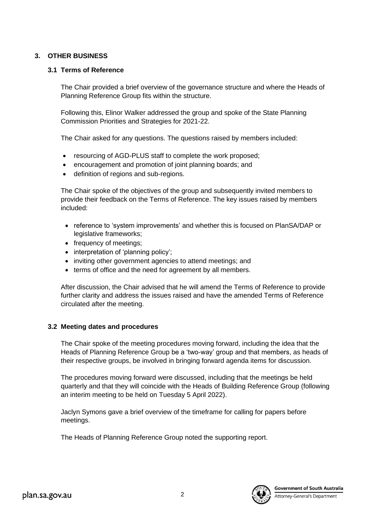#### **3. OTHER BUSINESS**

#### **3.1 Terms of Reference**

The Chair provided a brief overview of the governance structure and where the Heads of Planning Reference Group fits within the structure.

Following this, Elinor Walker addressed the group and spoke of the State Planning Commission Priorities and Strategies for 2021-22.

The Chair asked for any questions. The questions raised by members included:

- resourcing of AGD-PLUS staff to complete the work proposed;
- encouragement and promotion of joint planning boards; and
- definition of regions and sub-regions.

The Chair spoke of the objectives of the group and subsequently invited members to provide their feedback on the Terms of Reference. The key issues raised by members included:

- reference to 'system improvements' and whether this is focused on PlanSA/DAP or legislative frameworks;
- frequency of meetings;
- interpretation of 'planning policy';
- inviting other government agencies to attend meetings; and
- terms of office and the need for agreement by all members.

After discussion, the Chair advised that he will amend the Terms of Reference to provide further clarity and address the issues raised and have the amended Terms of Reference circulated after the meeting.

#### **3.2 Meeting dates and procedures**

The Chair spoke of the meeting procedures moving forward, including the idea that the Heads of Planning Reference Group be a 'two-way' group and that members, as heads of their respective groups, be involved in bringing forward agenda items for discussion.

The procedures moving forward were discussed, including that the meetings be held quarterly and that they will coincide with the Heads of Building Reference Group (following an interim meeting to be held on Tuesday 5 April 2022).

Jaclyn Symons gave a brief overview of the timeframe for calling for papers before meetings.

The Heads of Planning Reference Group noted the supporting report.

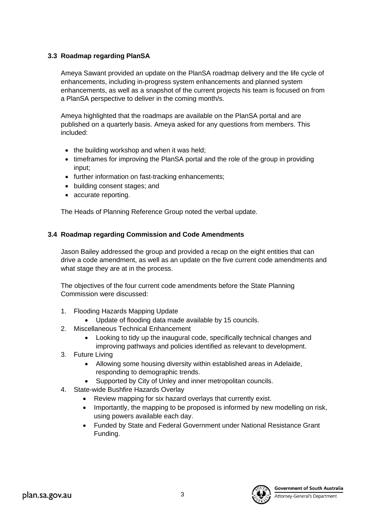#### **3.3 Roadmap regarding PlanSA**

Ameya Sawant provided an update on the PlanSA roadmap delivery and the life cycle of enhancements, including in-progress system enhancements and planned system enhancements, as well as a snapshot of the current projects his team is focused on from a PlanSA perspective to deliver in the coming month/s.

Ameya highlighted that the roadmaps are available on the PlanSA portal and are published on a quarterly basis. Ameya asked for any questions from members. This included:

- the building workshop and when it was held;
- timeframes for improving the PlanSA portal and the role of the group in providing input;
- further information on fast-tracking enhancements;
- building consent stages; and
- accurate reporting.

The Heads of Planning Reference Group noted the verbal update.

#### **3.4 Roadmap regarding Commission and Code Amendments**

Jason Bailey addressed the group and provided a recap on the eight entities that can drive a code amendment, as well as an update on the five current code amendments and what stage they are at in the process.

The objectives of the four current code amendments before the State Planning Commission were discussed:

- 1. Flooding Hazards Mapping Update
	- Update of flooding data made available by 15 councils.
- 2. Miscellaneous Technical Enhancement
	- Looking to tidy up the inaugural code, specifically technical changes and improving pathways and policies identified as relevant to development.
- 3. Future Living
	- Allowing some housing diversity within established areas in Adelaide, responding to demographic trends.
	- Supported by City of Unley and inner metropolitan councils.
- 4. State-wide Bushfire Hazards Overlay
	- Review mapping for six hazard overlays that currently exist.
	- Importantly, the mapping to be proposed is informed by new modelling on risk, using powers available each day.
	- Funded by State and Federal Government under National Resistance Grant Funding.

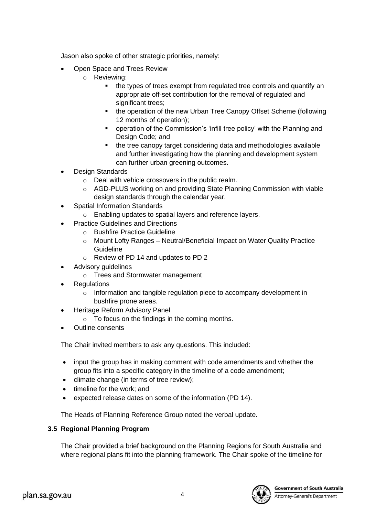Jason also spoke of other strategic priorities, namely:

- Open Space and Trees Review
	- o Reviewing:
		- the types of trees exempt from regulated tree controls and quantify an appropriate off-set contribution for the removal of regulated and significant trees;
		- the operation of the new Urban Tree Canopy Offset Scheme (following 12 months of operation);
		- operation of the Commission's 'infill tree policy' with the Planning and Design Code; and
		- the tree canopy target considering data and methodologies available and further investigating how the planning and development system can further urban greening outcomes.
- **Design Standards** 
	- o Deal with vehicle crossovers in the public realm.
	- o AGD-PLUS working on and providing State Planning Commission with viable design standards through the calendar year.
- Spatial Information Standards
	- o Enabling updates to spatial layers and reference layers.
- Practice Guidelines and Directions
	- o Bushfire Practice Guideline
	- $\circ$  Mount Lofty Ranges Neutral/Beneficial Impact on Water Quality Practice Guideline
	- o Review of PD 14 and updates to PD 2
- Advisory guidelines
	- o Trees and Stormwater management
- **Regulations** 
	- o Information and tangible regulation piece to accompany development in bushfire prone areas.
- Heritage Reform Advisory Panel
	- $\circ$  To focus on the findings in the coming months.
- Outline consents

The Chair invited members to ask any questions. This included:

- input the group has in making comment with code amendments and whether the group fits into a specific category in the timeline of a code amendment;
- climate change (in terms of tree review);
- timeline for the work; and
- expected release dates on some of the information (PD 14).

The Heads of Planning Reference Group noted the verbal update.

#### **3.5 Regional Planning Program**

The Chair provided a brief background on the Planning Regions for South Australia and where regional plans fit into the planning framework. The Chair spoke of the timeline for